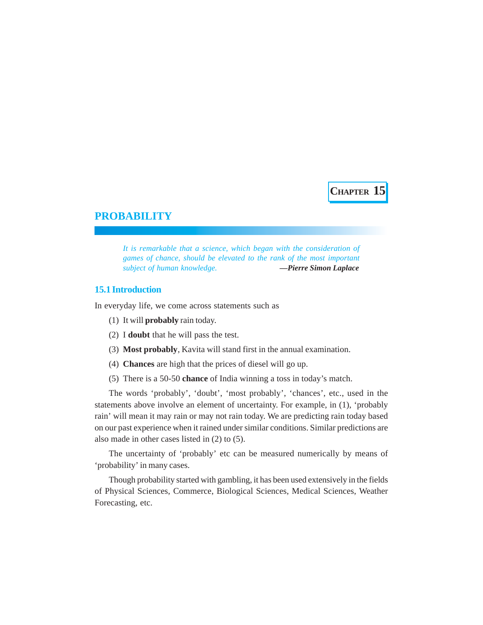**CHAPTER 15**

# **PROBABILITY**

*It is remarkable that a science, which began with the consideration of games of chance, should be elevated to the rank of the most important subject of human knowledge. —Pierre Simon Laplace*

# **15.1 Introduction**

In everyday life, we come across statements such as

- (1) It will **probably** rain today.
- (2) I **doubt** that he will pass the test.
- (3) **Most probably**, Kavita will stand first in the annual examination.
- (4) **Chances** are high that the prices of diesel will go up.
- (5) There is a 50-50 **chance** of India winning a toss in today's match.

The words 'probably', 'doubt', 'most probably', 'chances', etc., used in the statements above involve an element of uncertainty. For example, in (1), 'probably rain' will mean it may rain or may not rain today. We are predicting rain today based on our past experience when it rained under similar conditions. Similar predictions are also made in other cases listed in (2) to (5).

The uncertainty of 'probably' etc can be measured numerically by means of 'probability' in many cases.

Though probability started with gambling, it has been used extensively in the fields of Physical Sciences, Commerce, Biological Sciences, Medical Sciences, Weather Forecasting, etc.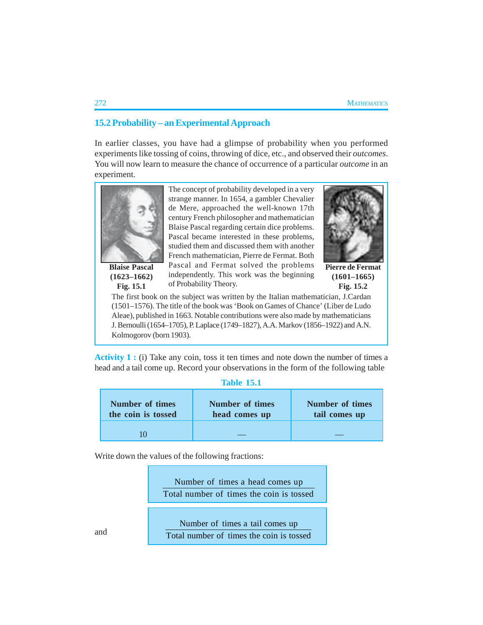# **15.2 Probability – an Experimental Approach**

In earlier classes, you have had a glimpse of probability when you performed experiments like tossing of coins, throwing of dice, etc., and observed their *outcomes*. You will now learn to measure the chance of occurrence of a particular *outcome* in an experiment.



**(1623–1662) Fig. 15.1**

The concept of probability developed in a very strange manner. In 1654, a gambler Chevalier de Mere, approached the well-known 17th century French philosopher and mathematician Blaise Pascal regarding certain dice problems. Pascal became interested in these problems, studied them and discussed them with another French mathematician, Pierre de Fermat. Both Pascal and Fermat solved the problems independently. This work was the beginning of Probability Theory.



**Pierre de Fermat (1601–1665) Fig. 15.2**

The first book on the subject was written by the Italian mathematician, J.Cardan (1501–1576). The title of the book was 'Book on Games of Chance' (Liber de Ludo Aleae), published in 1663. Notable contributions were also made by mathematicians J. Bernoulli (1654–1705), P. Laplace (1749–1827), A.A. Markov (1856–1922) and A.N. Kolmogorov (born 1903).

**Activity 1 :** (i) Take any coin, toss it ten times and note down the number of times a head and a tail come up. Record your observations in the form of the following table

| <b>Table 15.1</b>                            |                                         |                                         |  |  |  |
|----------------------------------------------|-----------------------------------------|-----------------------------------------|--|--|--|
| <b>Number of times</b><br>the coin is tossed | <b>Number of times</b><br>head comes up | <b>Number of times</b><br>tail comes up |  |  |  |
|                                              |                                         |                                         |  |  |  |

Write down the values of the following fractions:

Number of times a head comes up Total number of times the coin is tossed

Number of times a tail comes up Total number of times the coin is tossed

and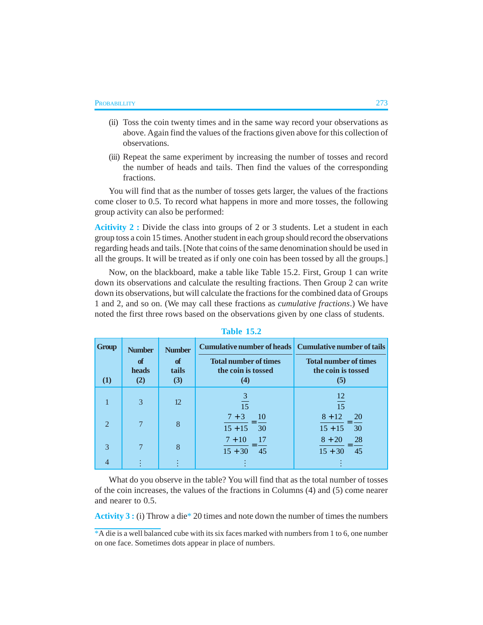- (ii) Toss the coin twenty times and in the same way record your observations as above. Again find the values of the fractions given above for this collection of observations.
- (iii) Repeat the same experiment by increasing the number of tosses and record the number of heads and tails. Then find the values of the corresponding fractions.

You will find that as the number of tosses gets larger, the values of the fractions come closer to 0.5. To record what happens in more and more tosses, the following group activity can also be performed:

**Acitivity 2 :** Divide the class into groups of 2 or 3 students. Let a student in each group toss a coin 15 times. Another student in each group should record the observations regarding heads and tails. [Note that coins of the same denomination should be used in all the groups. It will be treated as if only one coin has been tossed by all the groups.]

Now, on the blackboard, make a table like Table 15.2. First, Group 1 can write down its observations and calculate the resulting fractions. Then Group 2 can write down its observations, but will calculate the fractions for the combined data of Groups 1 and 2, and so on. (We may call these fractions as *cumulative fractions*.) We have noted the first three rows based on the observations given by one class of students.

| <b>Group</b>  | <b>Number</b>      | <b>Number</b>            | <b>Cumulative number of heads Cumulative number of tails</b> |                                                           |
|---------------|--------------------|--------------------------|--------------------------------------------------------------|-----------------------------------------------------------|
| $\rm(1)$      | of<br>heads<br>(2) | $\alpha$<br>tails<br>(3) | <b>Total number of times</b><br>the coin is tossed<br>(4)    | <b>Total number of times</b><br>the coin is tossed<br>(5) |
|               |                    |                          |                                                              |                                                           |
|               | 3                  | 12                       | $\mathfrak{Z}$<br>15                                         | 12<br>15                                                  |
| $\mathcal{D}$ | 7                  | 8                        | $7 + 3$<br>10<br>$15 + 15$<br>30                             | $8 + 12$<br><b>20</b><br>$15 + 15$<br>30                  |
| 3             | 7                  | 8                        | $7 + 10$<br>-17<br>$15 + 30$<br>45                           | 28<br>$8 + 20$<br>45<br>$15 + 30$                         |
| 4             |                    |                          |                                                              |                                                           |

**Table 15.2**

What do you observe in the table? You will find that as the total number of tosses of the coin increases, the values of the fractions in Columns (4) and (5) come nearer and nearer to 0.5.

**Activity 3 :** (i) Throw a die\* 20 times and note down the number of times the numbers

\*A die is a well balanced cube with its six faces marked with numbers from 1 to 6, one number on one face. Sometimes dots appear in place of numbers.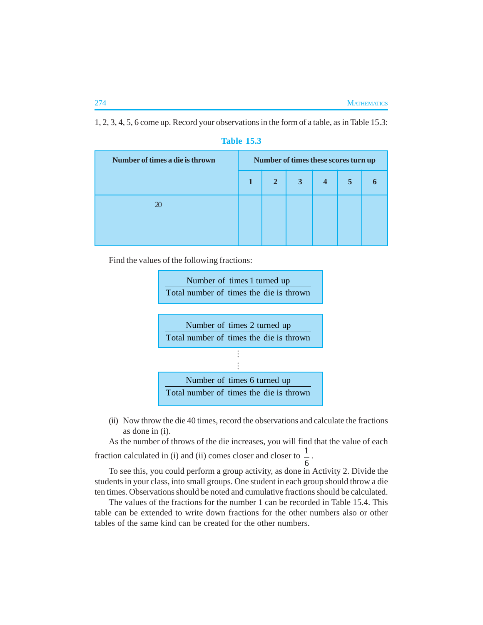1, 2, 3, 4, 5, 6 come up. Record your observations in the form of a table, as in Table 15.3:

| Number of times a die is thrown | Number of times these scores turn up |             |              |                         |                |  |
|---------------------------------|--------------------------------------|-------------|--------------|-------------------------|----------------|--|
|                                 |                                      | $2^{\circ}$ | $\mathbf{3}$ | $\overline{\mathbf{4}}$ | 5 <sup>7</sup> |  |
| $\infty$                        |                                      |             |              |                         |                |  |
|                                 |                                      |             |              |                         |                |  |

## **Table 15.3**

Find the values of the following fractions:



(ii) Now throw the die 40 times, record the observations and calculate the fractions as done in (i).

As the number of throws of the die increases, you will find that the value of each fraction calculated in (i) and (ii) comes closer and closer to  $\frac{1}{1}$ .

6 To see this, you could perform a group activity, as done in Activity 2. Divide the students in your class, into small groups. One student in each group should throw a die ten times. Observations should be noted and cumulative fractions should be calculated.

The values of the fractions for the number 1 can be recorded in Table 15.4. This table can be extended to write down fractions for the other numbers also or other tables of the same kind can be created for the other numbers.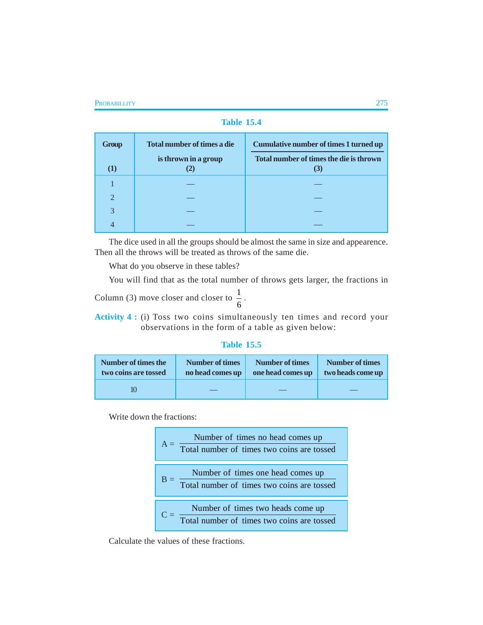**Table 15.4**

| <b>Group</b>   | <b>Total number of times a die</b> | <b>Cumulative number of times 1 turned up</b>  |
|----------------|------------------------------------|------------------------------------------------|
|                | is thrown in a group               | Total number of times the die is thrown<br>(3) |
|                |                                    |                                                |
| $\overline{2}$ |                                    |                                                |
| 3              |                                    |                                                |
| 4              |                                    |                                                |

The dice used in all the groups should be almost the same in size and appearence. Then all the throws will be treated as throws of the same die.

What do you observe in these tables?

You will find that as the total number of throws gets larger, the fractions in

Column (3) move closer and closer to  $\frac{1}{6}$ .

**Activity 4 :** (i) Toss two coins simultaneously ten times and record your observations in the form of a table as given below:

# **Table 15.5**

| Number of times the  | <b>Number of times</b> | Number of times   | Number of times   |
|----------------------|------------------------|-------------------|-------------------|
| two coins are tossed | no head comes up       | one head comes up | two heads come up |
|                      |                        |                   |                   |

Write down the fractions:

| Number of times no head comes up<br>Total number of times two coins are tossed  |
|---------------------------------------------------------------------------------|
| Number of times one head comes up<br>Total number of times two coins are tossed |
| Number of times two heads come up<br>Total number of times two coins are tossed |

Calculate the values of these fractions.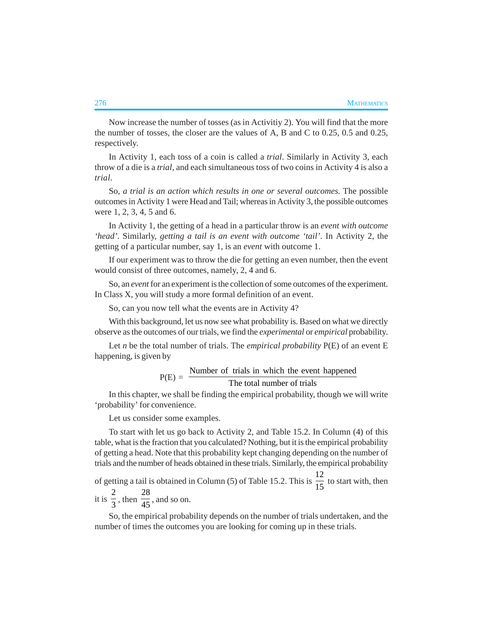Now increase the number of tosses (as in Activitiy 2). You will find that the more the number of tosses, the closer are the values of A, B and C to 0.25, 0.5 and 0.25, respectively.

In Activity 1, each toss of a coin is called a *trial*. Similarly in Activity 3, each throw of a die is a *trial*, and each simultaneous toss of two coins in Activity 4 is also a *trial*.

So, *a trial is an action which results in one or several outcomes*. The possible outcomes in Activity 1 were Head and Tail; whereas in Activity 3, the possible outcomes were 1, 2, 3, 4, 5 and 6.

In Activity 1, the getting of a head in a particular throw is an *event with outcome 'head'.* Similarly, *getting a tail is an event with outcome 'tail'*. In Activity 2, the getting of a particular number, say 1, is an *event* with outcome 1.

If our experiment was to throw the die for getting an even number, then the event would consist of three outcomes, namely, 2, 4 and 6.

So, an *event* for an experiment is the collection of some outcomes of the experiment. In Class X, you will study a more formal definition of an event.

So, can you now tell what the events are in Activity 4?

With this background, let us now see what probability is. Based on what we directly observe as the outcomes of our trials, we find the *experimental* or *empirical* probability.

Let *n* be the total number of trials. The *empirical probability* P(E) of an event E happening, is given by

$$
P(E) = \frac{Number of trials in which the event happened}{The total number of trials}
$$

In this chapter, we shall be finding the empirical probability, though we will write 'probability' for convenience.

Let us consider some examples.

To start with let us go back to Activity 2, and Table 15.2. In Column (4) of this table, what is the fraction that you calculated? Nothing, but it is the empirical probability of getting a head. Note that this probability kept changing depending on the number of trials and the number of heads obtained in these trials. Similarly, the empirical probability

of getting a tail is obtained in Column (5) of Table 15.2. This is 12  $\frac{1}{15}$  to start with, then it is 2  $\frac{1}{3}$ , then 28  $\frac{1}{45}$ , and so on.

So, the empirical probability depends on the number of trials undertaken, and the number of times the outcomes you are looking for coming up in these trials.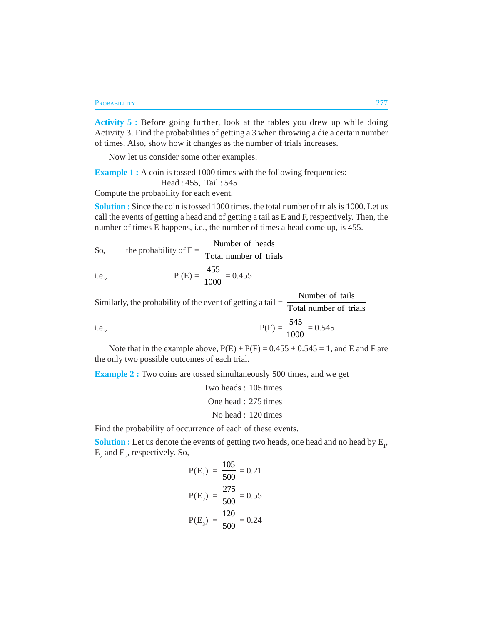**Activity 5 :** Before going further, look at the tables you drew up while doing Activity 3. Find the probabilities of getting a 3 when throwing a die a certain number of times. Also, show how it changes as the number of trials increases.

Now let us consider some other examples.

**Example 1 :** A coin is tossed 1000 times with the following frequencies:

Head : 455, Tail : 545

Compute the probability for each event.

**Solution :** Since the coin is tossed 1000 times, the total number of trials is 1000. Let us call the events of getting a head and of getting a tail as E and F, respectively. Then, the number of times E happens, i.e., the number of times a head come up, is 455.

So, the probability of 
$$
E = \frac{\text{Number of heads}}{\text{Total number of trials}}
$$

i.e., 
$$
P(E) = \frac{455}{1000} = 0.455
$$

Similarly, the probability of the event of getting a tail  $=$   $\frac{1}{\text{Total number of trials}}$ Number of tails

i.e., 
$$
P(F) = \frac{545}{1000} = 0.545
$$

Note that in the example above,  $P(E) + P(F) = 0.455 + 0.545 = 1$ , and E and F are the only two possible outcomes of each trial.

**Example 2 :** Two coins are tossed simultaneously 500 times, and we get

Two heads : 105 times One head : 275 times No head : 120 times

Find the probability of occurrence of each of these events.

**Solution :** Let us denote the events of getting two heads, one head and no head by  $E_{1}$ ,  $E_2$  and  $E_3$ , respectively. So,

$$
P(E_1) = \frac{105}{500} = 0.21
$$
  

$$
P(E_2) = \frac{275}{500} = 0.55
$$
  

$$
P(E_3) = \frac{120}{500} = 0.24
$$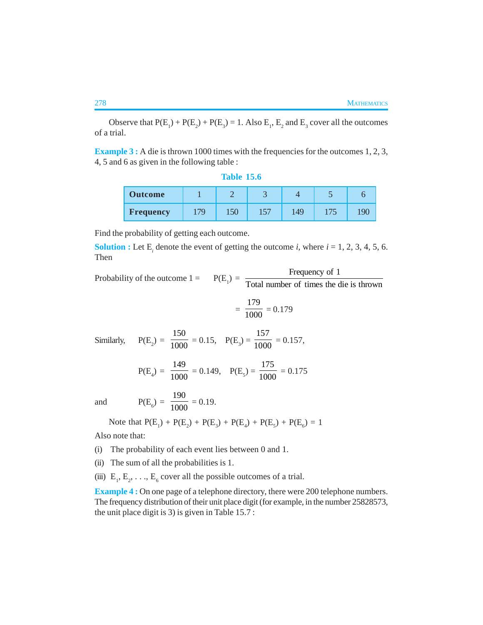Observe that  $P(E_1) + P(E_2) + P(E_3) = 1$ . Also  $E_1$ ,  $E_2$  and  $E_3$  cover all the outcomes of a trial.

**Example 3 :** A die is thrown 1000 times with the frequencies for the outcomes 1, 2, 3, 4, 5 and 6 as given in the following table :

| <b>Table 15.6</b> |  |  |
|-------------------|--|--|
|                   |  |  |

| <b>Outcome</b>   |    |     |    |     |                          |  |
|------------------|----|-----|----|-----|--------------------------|--|
| <b>Frequency</b> | 70 | 150 | 57 | .49 | $\overline{\phantom{a}}$ |  |

Find the probability of getting each outcome.

**Solution :** Let  $E_i$  denote the event of getting the outcome *i*, where  $i = 1, 2, 3, 4, 5, 6$ . Then

Probability of the outcome  $1 =$  $) = \frac{Frequency \text{ of } 1}{T \cdot 1 + 1}$ Total number of times the die is thrown

$$
=\frac{179}{1000}=0.179
$$

Similarly,  $P(E_2) =$ 150  $\frac{1}{1000} = 0.15$ ,  $P(E_3) =$ 157  $\frac{1}{1000} = 0.157$ ,

$$
P(E_4) = \frac{149}{1000} = 0.149
$$
,  $P(E_5) = \frac{175}{1000} = 0.175$ 

and  $P(E_6) =$ 190  $\frac{100}{1000} = 0.19.$ 

Note that  $P(E_1) + P(E_2) + P(E_3) + P(E_4) + P(E_5) + P(E_6) = 1$ 

Also note that:

- (i) The probability of each event lies between 0 and 1.
- (ii) The sum of all the probabilities is 1.
- (iii)  $E_1, E_2, \ldots, E_6$  cover all the possible outcomes of a trial.

**Example 4 :** On one page of a telephone directory, there were 200 telephone numbers. The frequency distribution of their unit place digit (for example, in the number 25828573, the unit place digit is 3) is given in Table 15.7 :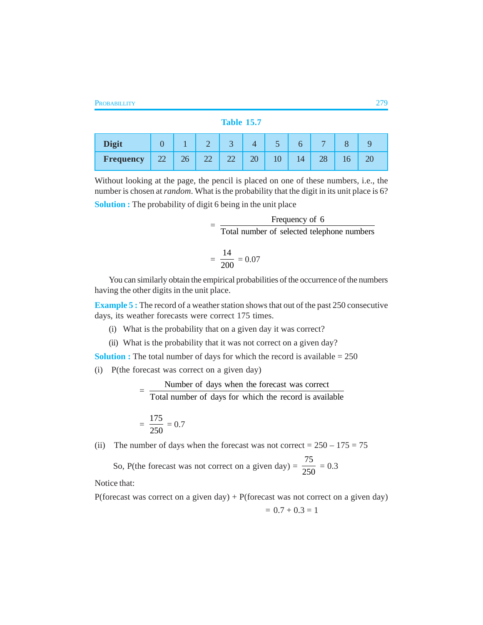#### **Table 15.7**

| <b>Digit</b> |                     |          | ∼  | J        |                 | - 1 |    |    |    |
|--------------|---------------------|----------|----|----------|-----------------|-----|----|----|----|
| Frequency    | $\mathcal{D}$<br>∠∠ | ንհ<br>∠∪ | سە | ി<br>سىم | $\overline{20}$ | 10  | 14 | 20 | ZU |

Without looking at the page, the pencil is placed on one of these numbers, i.e., the number is chosen at *random*. What is the probability that the digit in its unit place is 6?

**Solution :** The probability of digit 6 being in the unit place

| Frequency of 6                             |  |
|--------------------------------------------|--|
| Total number of selected telephone numbers |  |

$$
=\frac{14}{200}=0.07
$$

You can similarly obtain the empirical probabilities of the occurrence of the numbers having the other digits in the unit place.

**Example 5 :** The record of a weather station shows that out of the past 250 consecutive days, its weather forecasts were correct 175 times.

- (i) What is the probability that on a given day it was correct?
- (ii) What is the probability that it was not correct on a given day?

**Solution :** The total number of days for which the record is available  $= 250$ 

(i) P(the forecast was correct on a given day)

 $=\frac{\text{Number of days when the forecast was correct}}{\text{The total of the weight.}}$ 

Total number of days for which the record is available

$$
=\frac{175}{250}=0.7
$$

(ii) The number of days when the forecast was not correct =  $250 - 175 = 75$ 

So, P(the forecast was not correct on a given day)  $=$ 75  $\frac{1}{250} = 0.3$ 

Notice that:

P(forecast was correct on a given day) + P(forecast was not correct on a given day)

$$
= 0.7 + 0.3 = 1
$$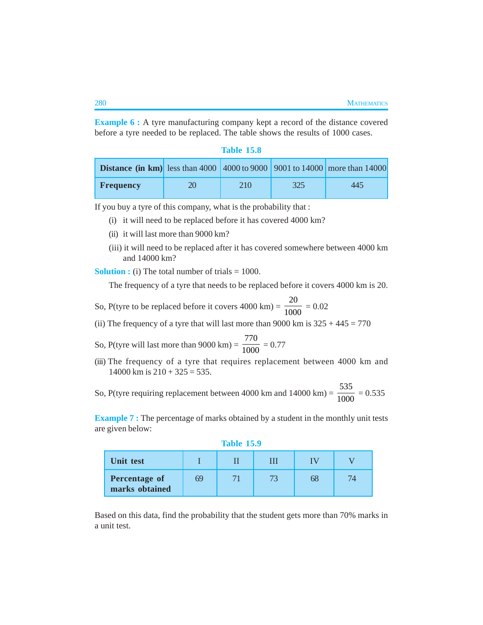**Example 6 :** A tyre manufacturing company kept a record of the distance covered before a tyre needed to be replaced. The table shows the results of 1000 cases.

| Table |    |    |
|-------|----|----|
|       | 15 | ÷О |
|       |    |    |

| <b>Distance (in km)</b> less than 4000 $\left  4000 \right  69000$   9001 to 14000   more than 14000 |    |     |     |     |
|------------------------------------------------------------------------------------------------------|----|-----|-----|-----|
| <b>Frequency</b>                                                                                     | 20 | 210 | 325 | 445 |

If you buy a tyre of this company, what is the probability that :

- (i) it will need to be replaced before it has covered 4000 km?
- (ii) it will last more than 9000 km?
- (iii) it will need to be replaced after it has covered somewhere between 4000 km and 14000 km?

**Solution :** (i) The total number of trials = 1000.

The frequency of a tyre that needs to be replaced before it covers 4000 km is 20.

- So, P(tyre to be replaced before it covers  $4000 \text{ km}$ ) = 20  $\frac{1}{1000}$  = 0.02
- (ii) The frequency of a tyre that will last more than 9000 km is  $325 + 445 = 770$
- So, P(tyre will last more than  $9000 \text{ km}$ ) = 770  $\frac{1}{1000} = 0.77$
- (iii) The frequency of a tyre that requires replacement between 4000 km and  $14000$  km is  $210 + 325 = 535$ .
- So, P(tyre requiring replacement between  $4000 \text{ km}$  and  $14000 \text{ km}$ ) = 535  $\frac{100}{1000} = 0.535$

**Example 7:** The percentage of marks obtained by a student in the monthly unit tests are given below:

**Table 15.9**

| Unit test                              |    |  |    |  |
|----------------------------------------|----|--|----|--|
| <b>Percentage of</b><br>marks obtained | 69 |  | 68 |  |

Based on this data, find the probability that the student gets more than 70% marks in a unit test.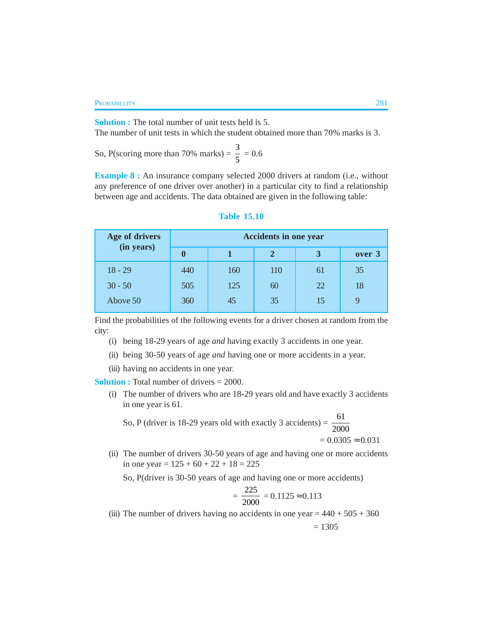#### **PROBABILLITY** 281

**Solution :** The total number of unit tests held is 5. The number of unit tests in which the student obtained more than 70% marks is 3.

So, P(scoring more than 70% marks) =  $\frac{3}{5}$  $\frac{5}{5}$  = 0.6

**Example 8 :** An insurance company selected 2000 drivers at random (i.e., without any preference of one driver over another) in a particular city to find a relationship between age and accidents. The data obtained are given in the following table:

| Age of drivers | <b>Accidents in one year</b> |     |     |    |        |
|----------------|------------------------------|-----|-----|----|--------|
| (in years)     | $\bf{0}$                     |     |     | 3  | over 3 |
| $18 - 29$      | 440                          | 160 | 110 | 61 | 35     |
| $30 - 50$      | 505                          | 125 | 60  | 22 | 18     |
| Above 50       | 360                          | 45  | 35  | 15 |        |

#### **Table 15.10**

Find the probabilities of the following events for a driver chosen at random from the city:

(i) being 18-29 years of age *and* having exactly 3 accidents in one year.

(ii) being 30-50 years of age *and* having one or more accidents in a year.

(iii) having no accidents in one year.

**Solution :** Total number of drivers = 2000.

(i) The number of drivers who are 18-29 years old and have exactly 3 accidents in one year is 61.

So, P (driver is 18-29 years old with exactly 3 accidents) =  $\frac{61}{200}$ 2000  $= 0.0305 \approx 0.031$ 

(ii) The number of drivers 30-50 years of age and having one or more accidents in one year =  $125 + 60 + 22 + 18 = 225$ 

So, P(driver is 30-50 years of age and having one or more accidents)

$$
=\frac{225}{2000} = 0.1125 \approx 0.113
$$

(iii) The number of drivers having no accidents in one year =  $440 + 505 + 360$ 

 $= 1305$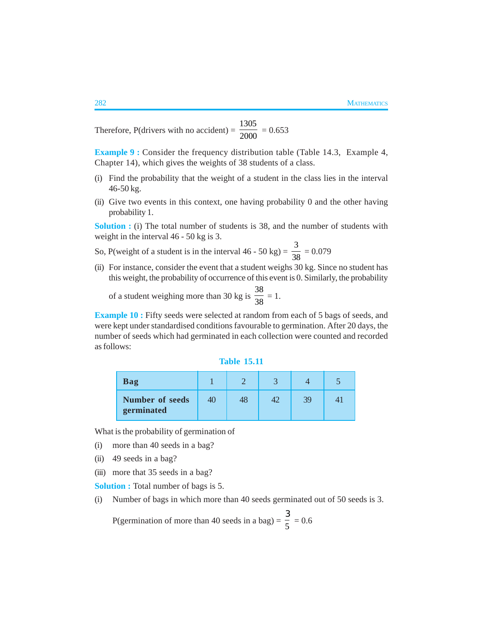Therefore,  $P$ (drivers with no accident) = 1305  $\frac{1}{2000}$  = 0.653

**Example 9 :** Consider the frequency distribution table (Table 14.3, Example 4, Chapter 14), which gives the weights of 38 students of a class.

- (i) Find the probability that the weight of a student in the class lies in the interval 46-50 kg.
- (ii) Give two events in this context, one having probability 0 and the other having probability 1.

**Solution :** (i) The total number of students is 38, and the number of students with weight in the interval 46 - 50 kg is 3.

- So, P(weight of a student is in the interval  $46 50$  kg) = 3  $\frac{1}{38} = 0.079$
- (ii) For instance, consider the event that a student weighs 30 kg. Since no student has this weight, the probability of occurrence of this event is 0. Similarly, the probability

of a student weighing more than 30 kg is 38  $\frac{28}{38} = 1.$ 

**Example 10 :** Fifty seeds were selected at random from each of 5 bags of seeds, and were kept under standardised conditions favourable to germination. After 20 days, the number of seeds which had germinated in each collection were counted and recorded as follows:

| Table | 15.11 |  |
|-------|-------|--|
|       |       |  |
|       |       |  |

| <b>Bag</b>                           |    |    |  |
|--------------------------------------|----|----|--|
| <b>Number of seeds</b><br>germinated | 48 | 39 |  |

What is the probability of germination of

- (i) more than 40 seeds in a bag?
- (ii) 49 seeds in a bag?
- (iii) more that 35 seeds in a bag?

**Solution :** Total number of bags is 5.

(i) Number of bags in which more than 40 seeds germinated out of 50 seeds is 3.

P(germination of more than 40 seeds in a bag) =  $\frac{1}{5}$ 3  $= 0.6$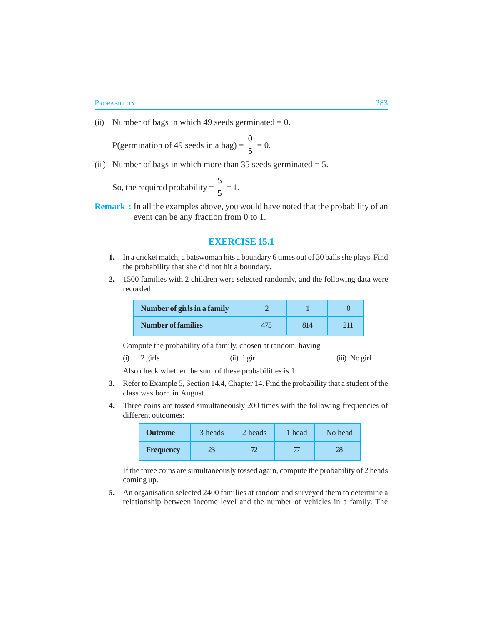(ii) Number of bags in which 49 seeds germinated  $= 0$ .

P(germination of 49 seeds in a bag)  $=$ 0  $\frac{1}{5} = 0.$ 

(iii) Number of bags in which more than  $35$  seeds germinated = 5.

So, the required probability  $=$ 5  $\frac{5}{5} = 1.$ 

**Remark :** In all the examples above, you would have noted that the probability of an event can be any fraction from 0 to 1.

### **EXERCISE 15.1**

- **1.** In a cricket match, a batswoman hits a boundary 6 times out of 30 balls she plays. Find the probability that she did not hit a boundary.
- **2.** 1500 families with 2 children were selected randomly, and the following data were recorded:

| Number of girls in a family |     |  |
|-----------------------------|-----|--|
| <b>Number of families</b>   | 814 |  |

Compute the probability of a family, chosen at random, having

| (i) | 2 girls | $(ii)$ 1 girl | (iii) No girl |
|-----|---------|---------------|---------------|
|     |         |               |               |

Also check whether the sum of these probabilities is 1.

- **3.** Refer to Example 5, Section 14.4, Chapter 14. Find the probability that a student of the class was born in August.
- **4.** Three coins are tossed simultaneously 200 times with the following frequencies of different outcomes:

| <b>Outcome</b>   | 3 heads | 2 heads | 1 head | No head |
|------------------|---------|---------|--------|---------|
| <b>Frequency</b> | 23      |         |        |         |

If the three coins are simultaneously tossed again, compute the probability of 2 heads coming up.

**5.** An organisation selected 2400 families at random and surveyed them to determine a relationship between income level and the number of vehicles in a family. The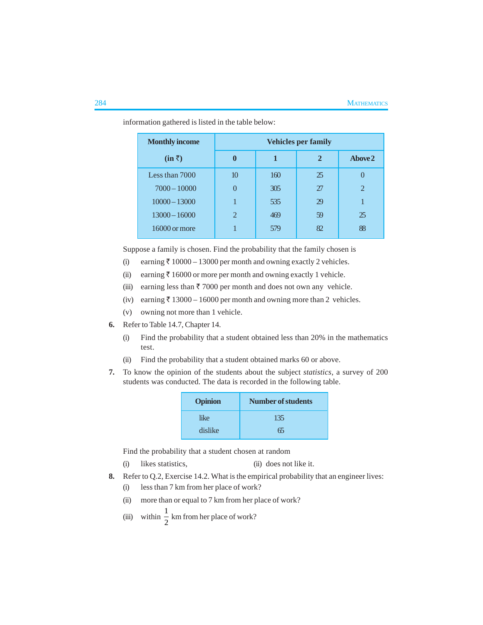| <b>Monthly income</b> | <b>Vehicles per family</b> |     |              |                   |
|-----------------------|----------------------------|-----|--------------|-------------------|
| $(in \bar{z})$        | $\mathbf{0}$               |     | $\mathbf{2}$ | Above 2           |
| Less than 7000        | 10 <sup>10</sup>           | 160 | 25           | $\mathbf{\Omega}$ |
| $7000 - 10000$        |                            | 305 | 27           | $\overline{2}$    |
| $10000 - 13000$       |                            | 535 | 29           |                   |
| $13000 - 16000$       | $\overline{2}$             | 469 | 59           | 25                |
| 16000 or more         |                            | 579 | 82           | 88                |

information gathered is listed in the table below:

Suppose a family is chosen. Find the probability that the family chosen is

- (i) earning  $\bar{\tau}$  10000 13000 per month and owning exactly 2 vehicles.
- (ii) earning  $\bar{\tau}$  16000 or more per month and owning exactly 1 vehicle.
- (iii) earning less than  $\bar{\tau}$  7000 per month and does not own any vehicle.
- (iv) earning  $\bar{\tau}$  13000 16000 per month and owning more than 2 vehicles.
- (v) owning not more than 1 vehicle.
- **6.** Refer to Table 14.7, Chapter 14.
	- (i) Find the probability that a student obtained less than 20% in the mathematics test.
	- (ii) Find the probability that a student obtained marks 60 or above.
- **7.** To know the opinion of the students about the subject *statistics*, a survey of 200 students was conducted. The data is recorded in the following table.

| <b>Opinion</b> | <b>Number of students</b> |
|----------------|---------------------------|
| like           | 135                       |
| dislike        | 65                        |

Find the probability that a student chosen at random

- (i) likes statistics, (ii) does not like it.
- **8.** Refer to Q.2, Exercise 14.2. What is the empirical probability that an engineer lives:
	- (i) less than 7 km from her place of work?
	- (ii) more than or equal to 7 km from her place of work?
	- (iii) within  $\frac{1}{2}$  $\frac{1}{2}$  km from her place of work?